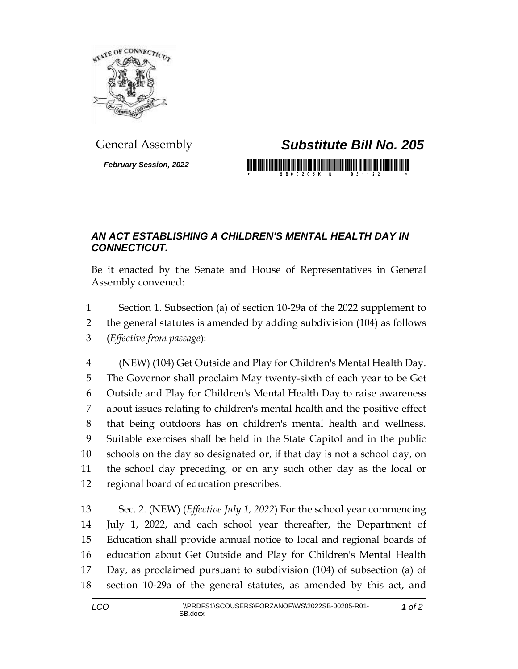

*February Session, 2022*

## General Assembly *Substitute Bill No. 205*

## *AN ACT ESTABLISHING A CHILDREN'S MENTAL HEALTH DAY IN CONNECTICUT.*

Be it enacted by the Senate and House of Representatives in General Assembly convened:

 Section 1. Subsection (a) of section 10-29a of the 2022 supplement to the general statutes is amended by adding subdivision (104) as follows (*Effective from passage*):

 (NEW) (104) Get Outside and Play for Children's Mental Health Day. The Governor shall proclaim May twenty-sixth of each year to be Get Outside and Play for Children's Mental Health Day to raise awareness about issues relating to children's mental health and the positive effect that being outdoors has on children's mental health and wellness. Suitable exercises shall be held in the State Capitol and in the public schools on the day so designated or, if that day is not a school day, on the school day preceding, or on any such other day as the local or regional board of education prescribes.

 Sec. 2. (NEW) (*Effective July 1, 2022*) For the school year commencing July 1, 2022, and each school year thereafter, the Department of Education shall provide annual notice to local and regional boards of education about Get Outside and Play for Children's Mental Health Day, as proclaimed pursuant to subdivision (104) of subsection (a) of section 10-29a of the general statutes, as amended by this act, and